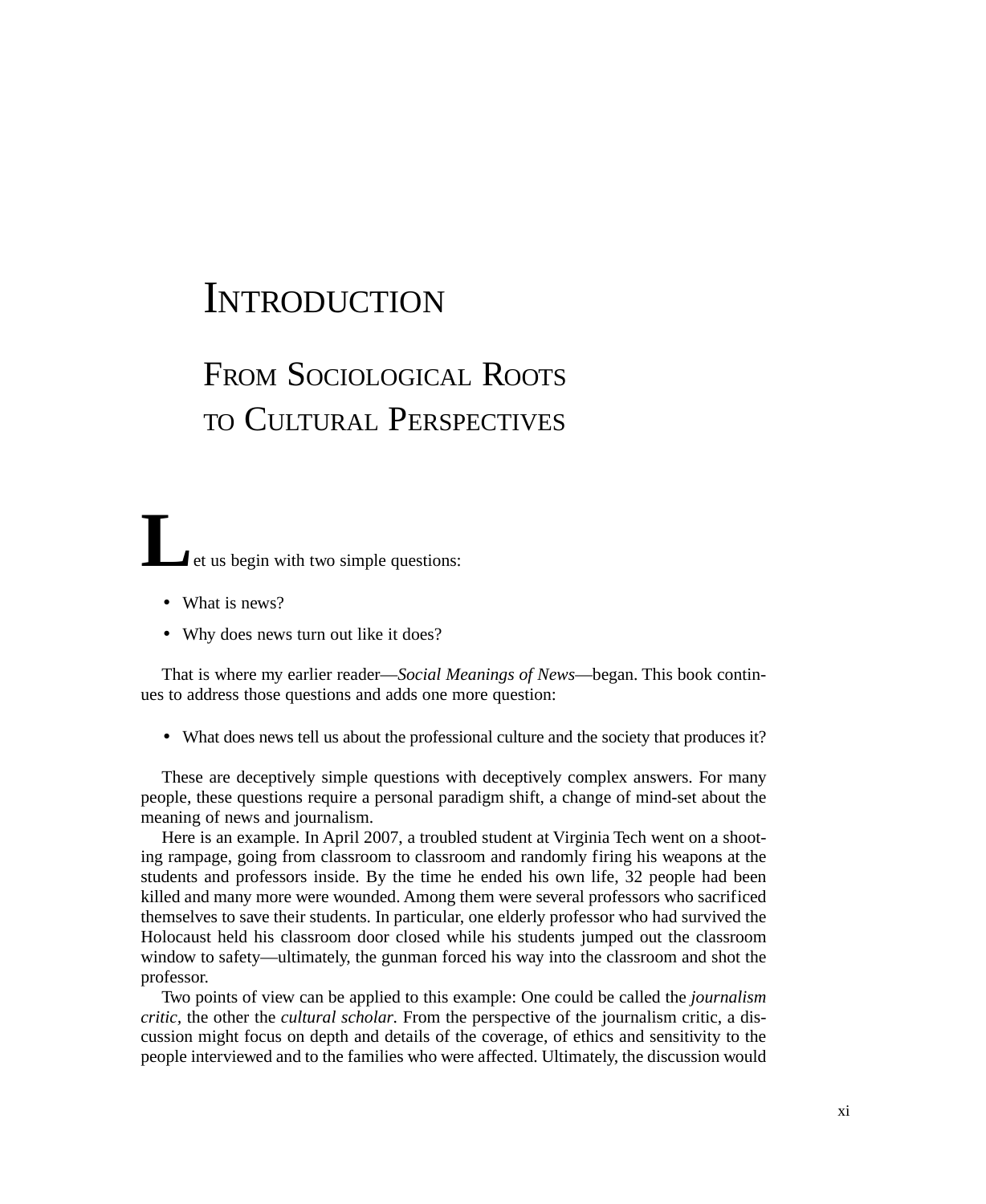## **INTRODUCTION**

# FROM SOCIOLOGICAL ROOTS TO CULTURAL PERSPECTIVES

**L**<br>**Let us begin with two simple questions:** 

- What is news?
- Why does news turn out like it does?

That is where my earlier reader—*Social Meanings of News*—began. This book continues to address those questions and adds one more question:

• What does news tell us about the professional culture and the society that produces it?

These are deceptively simple questions with deceptively complex answers. For many people, these questions require a personal paradigm shift, a change of mind-set about the meaning of news and journalism.

Here is an example. In April 2007, a troubled student at Virginia Tech went on a shooting rampage, going from classroom to classroom and randomly firing his weapons at the students and professors inside. By the time he ended his own life, 32 people had been killed and many more were wounded. Among them were several professors who sacrificed themselves to save their students. In particular, one elderly professor who had survived the Holocaust held his classroom door closed while his students jumped out the classroom window to safety—ultimately, the gunman forced his way into the classroom and shot the professor.

Two points of view can be applied to this example: One could be called the *journalism critic,* the other the *cultural scholar.* From the perspective of the journalism critic, a discussion might focus on depth and details of the coverage, of ethics and sensitivity to the people interviewed and to the families who were affected. Ultimately, the discussion would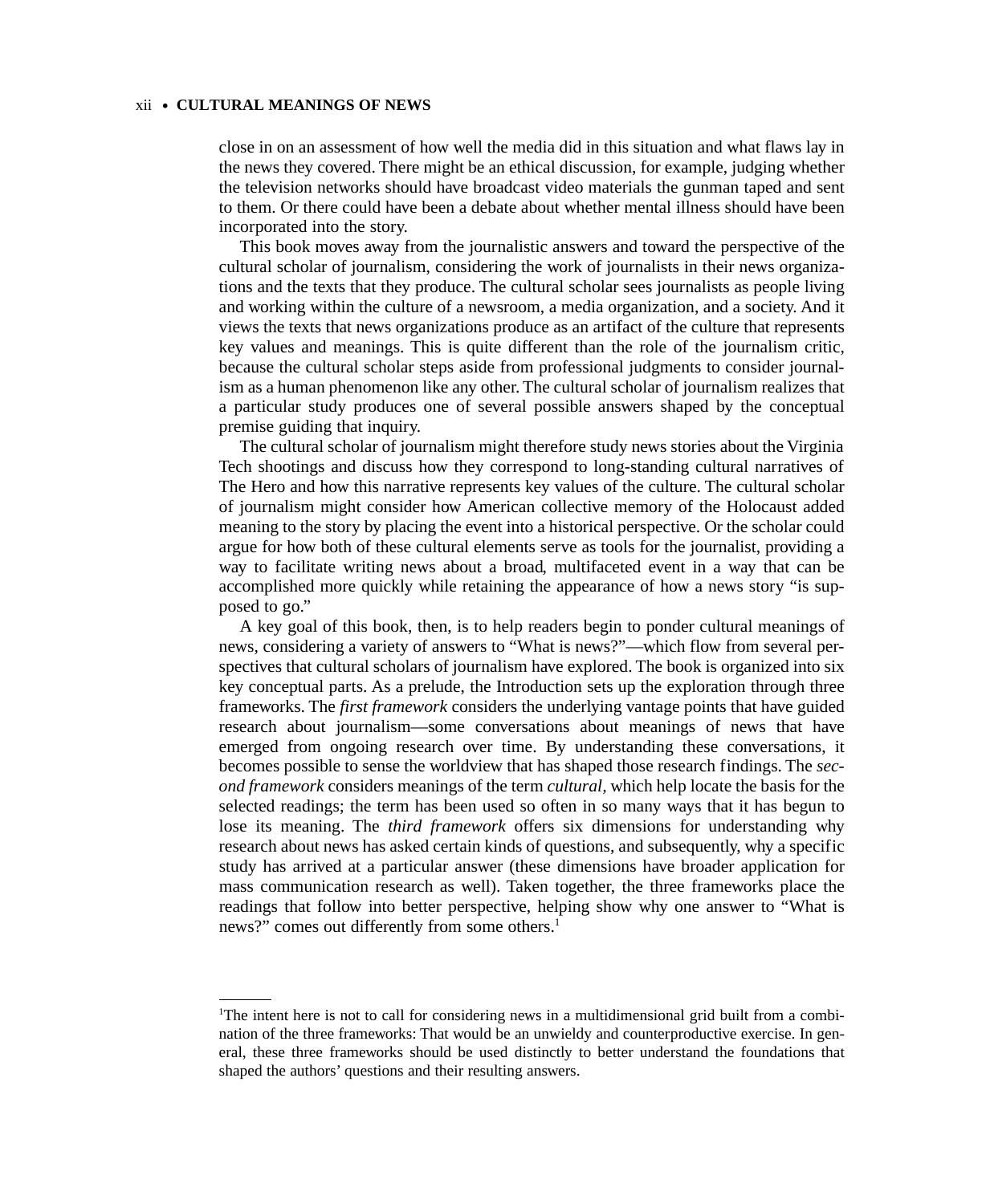### xii • **CULTURAL MEANINGS OF NEWS**

close in on an assessment of how well the media did in this situation and what flaws lay in the news they covered. There might be an ethical discussion, for example, judging whether the television networks should have broadcast video materials the gunman taped and sent to them. Or there could have been a debate about whether mental illness should have been incorporated into the story.

This book moves away from the journalistic answers and toward the perspective of the cultural scholar of journalism, considering the work of journalists in their news organizations and the texts that they produce. The cultural scholar sees journalists as people living and working within the culture of a newsroom, a media organization, and a society. And it views the texts that news organizations produce as an artifact of the culture that represents key values and meanings. This is quite different than the role of the journalism critic, because the cultural scholar steps aside from professional judgments to consider journalism as a human phenomenon like any other. The cultural scholar of journalism realizes that a particular study produces one of several possible answers shaped by the conceptual premise guiding that inquiry.

The cultural scholar of journalism might therefore study news stories about the Virginia Tech shootings and discuss how they correspond to long-standing cultural narratives of The Hero and how this narrative represents key values of the culture. The cultural scholar of journalism might consider how American collective memory of the Holocaust added meaning to the story by placing the event into a historical perspective. Or the scholar could argue for how both of these cultural elements serve as tools for the journalist, providing a way to facilitate writing news about a broad, multifaceted event in a way that can be accomplished more quickly while retaining the appearance of how a news story "is supposed to go."

A key goal of this book, then, is to help readers begin to ponder cultural meanings of news, considering a variety of answers to "What is news?"—which flow from several perspectives that cultural scholars of journalism have explored. The book is organized into six key conceptual parts. As a prelude, the Introduction sets up the exploration through three frameworks. The *first framework* considers the underlying vantage points that have guided research about journalism—some conversations about meanings of news that have emerged from ongoing research over time. By understanding these conversations, it becomes possible to sense the worldview that has shaped those research findings. The *second framework* considers meanings of the term *cultural,* which help locate the basis for the selected readings; the term has been used so often in so many ways that it has begun to lose its meaning. The *third framework* offers six dimensions for understanding why research about news has asked certain kinds of questions, and subsequently, why a specific study has arrived at a particular answer (these dimensions have broader application for mass communication research as well). Taken together, the three frameworks place the readings that follow into better perspective, helping show why one answer to "What is news?" comes out differently from some others.<sup>1</sup>

<sup>1</sup> The intent here is not to call for considering news in a multidimensional grid built from a combination of the three frameworks: That would be an unwieldy and counterproductive exercise. In general, these three frameworks should be used distinctly to better understand the foundations that shaped the authors' questions and their resulting answers.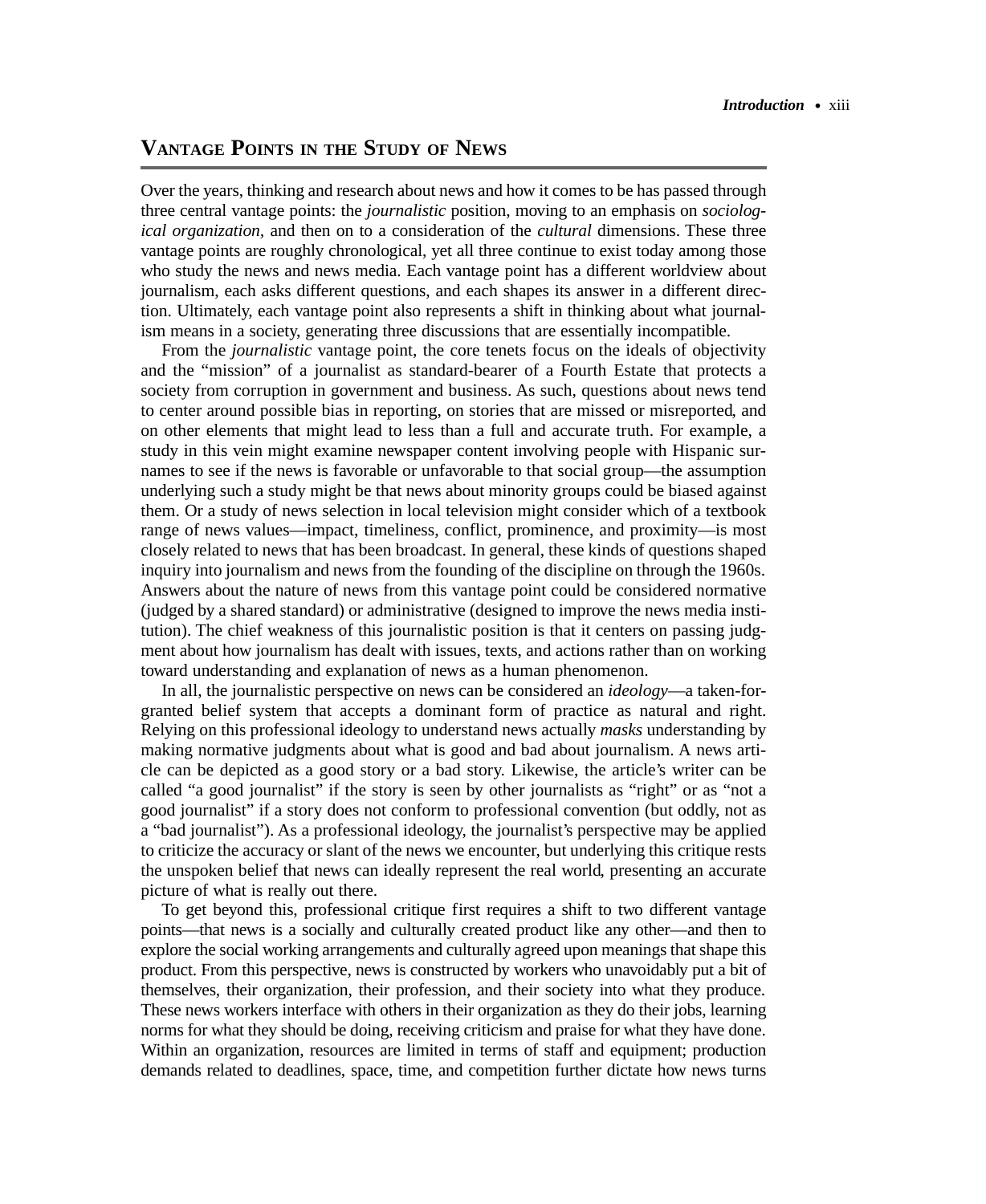## **VANTAGE POINTS IN THE STUDY OF NEWS**

Over the years, thinking and research about news and how it comes to be has passed through three central vantage points: the *journalistic* position, moving to an emphasis on *sociological organization,* and then on to a consideration of the *cultural* dimensions. These three vantage points are roughly chronological, yet all three continue to exist today among those who study the news and news media. Each vantage point has a different worldview about journalism, each asks different questions, and each shapes its answer in a different direction. Ultimately, each vantage point also represents a shift in thinking about what journalism means in a society, generating three discussions that are essentially incompatible.

From the *journalistic* vantage point, the core tenets focus on the ideals of objectivity and the "mission" of a journalist as standard-bearer of a Fourth Estate that protects a society from corruption in government and business. As such, questions about news tend to center around possible bias in reporting, on stories that are missed or misreported, and on other elements that might lead to less than a full and accurate truth. For example, a study in this vein might examine newspaper content involving people with Hispanic surnames to see if the news is favorable or unfavorable to that social group—the assumption underlying such a study might be that news about minority groups could be biased against them. Or a study of news selection in local television might consider which of a textbook range of news values—impact, timeliness, conflict, prominence, and proximity—is most closely related to news that has been broadcast. In general, these kinds of questions shaped inquiry into journalism and news from the founding of the discipline on through the 1960s. Answers about the nature of news from this vantage point could be considered normative (judged by a shared standard) or administrative (designed to improve the news media institution). The chief weakness of this journalistic position is that it centers on passing judgment about how journalism has dealt with issues, texts, and actions rather than on working toward understanding and explanation of news as a human phenomenon.

In all, the journalistic perspective on news can be considered an *ideology*—a taken-forgranted belief system that accepts a dominant form of practice as natural and right. Relying on this professional ideology to understand news actually *masks* understanding by making normative judgments about what is good and bad about journalism. A news article can be depicted as a good story or a bad story. Likewise, the article's writer can be called "a good journalist" if the story is seen by other journalists as "right" or as "not a good journalist" if a story does not conform to professional convention (but oddly, not as a "bad journalist"). As a professional ideology, the journalist's perspective may be applied to criticize the accuracy or slant of the news we encounter, but underlying this critique rests the unspoken belief that news can ideally represent the real world, presenting an accurate picture of what is really out there.

To get beyond this, professional critique first requires a shift to two different vantage points—that news is a socially and culturally created product like any other—and then to explore the social working arrangements and culturally agreed upon meanings that shape this product. From this perspective, news is constructed by workers who unavoidably put a bit of themselves, their organization, their profession, and their society into what they produce. These news workers interface with others in their organization as they do their jobs, learning norms for what they should be doing, receiving criticism and praise for what they have done. Within an organization, resources are limited in terms of staff and equipment; production demands related to deadlines, space, time, and competition further dictate how news turns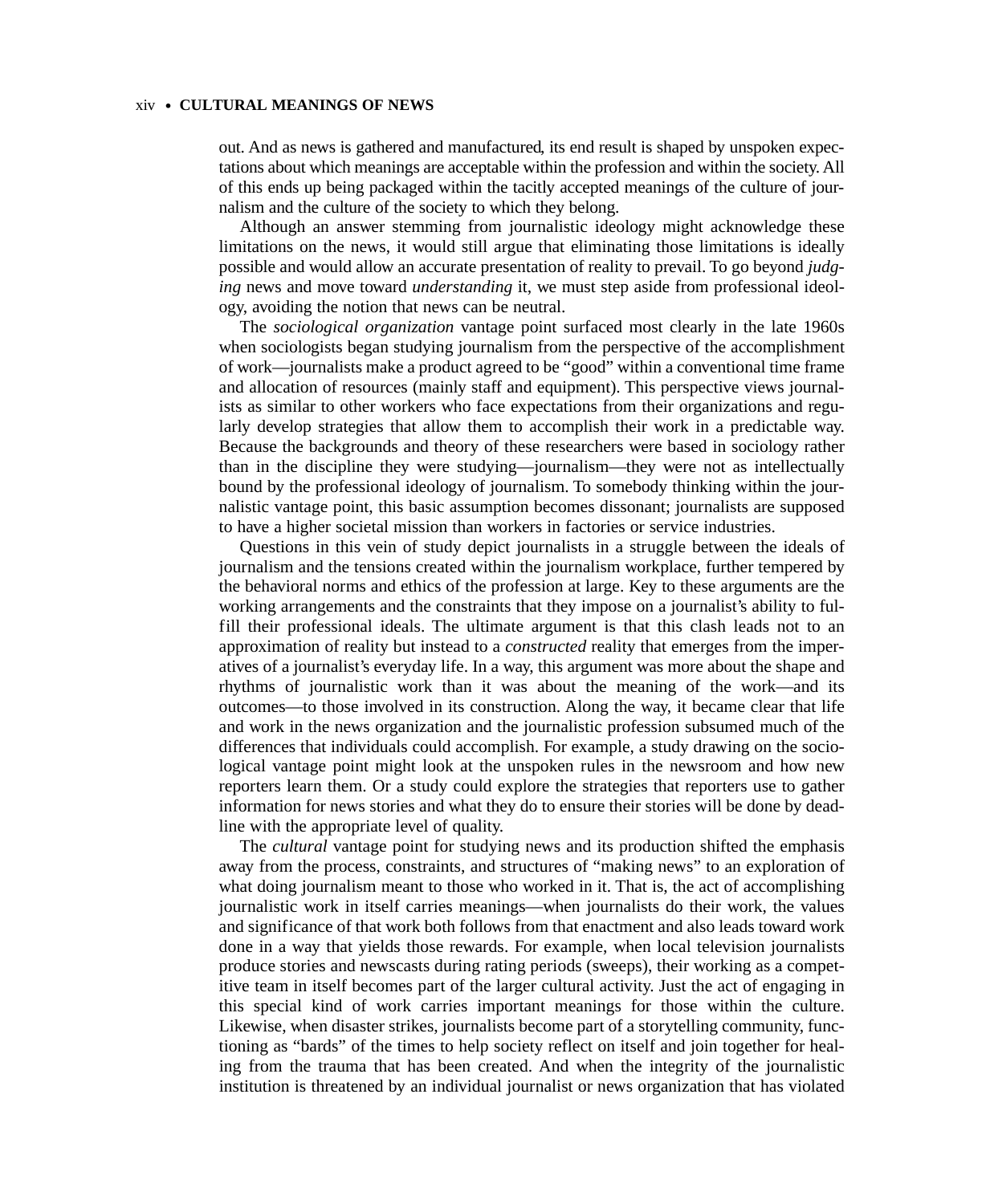#### xiv • **CULTURAL MEANINGS OF NEWS**

out. And as news is gathered and manufactured, its end result is shaped by unspoken expectations about which meanings are acceptable within the profession and within the society. All of this ends up being packaged within the tacitly accepted meanings of the culture of journalism and the culture of the society to which they belong.

Although an answer stemming from journalistic ideology might acknowledge these limitations on the news, it would still argue that eliminating those limitations is ideally possible and would allow an accurate presentation of reality to prevail. To go beyond *judging* news and move toward *understanding* it, we must step aside from professional ideology, avoiding the notion that news can be neutral.

The *sociological organization* vantage point surfaced most clearly in the late 1960s when sociologists began studying journalism from the perspective of the accomplishment of work—journalists make a product agreed to be "good" within a conventional time frame and allocation of resources (mainly staff and equipment). This perspective views journalists as similar to other workers who face expectations from their organizations and regularly develop strategies that allow them to accomplish their work in a predictable way. Because the backgrounds and theory of these researchers were based in sociology rather than in the discipline they were studying—journalism—they were not as intellectually bound by the professional ideology of journalism. To somebody thinking within the journalistic vantage point, this basic assumption becomes dissonant; journalists are supposed to have a higher societal mission than workers in factories or service industries.

Questions in this vein of study depict journalists in a struggle between the ideals of journalism and the tensions created within the journalism workplace, further tempered by the behavioral norms and ethics of the profession at large. Key to these arguments are the working arrangements and the constraints that they impose on a journalist's ability to fulfill their professional ideals. The ultimate argument is that this clash leads not to an approximation of reality but instead to a *constructed* reality that emerges from the imperatives of a journalist's everyday life. In a way, this argument was more about the shape and rhythms of journalistic work than it was about the meaning of the work—and its outcomes—to those involved in its construction. Along the way, it became clear that life and work in the news organization and the journalistic profession subsumed much of the differences that individuals could accomplish. For example, a study drawing on the sociological vantage point might look at the unspoken rules in the newsroom and how new reporters learn them. Or a study could explore the strategies that reporters use to gather information for news stories and what they do to ensure their stories will be done by deadline with the appropriate level of quality.

The *cultural* vantage point for studying news and its production shifted the emphasis away from the process, constraints, and structures of "making news" to an exploration of what doing journalism meant to those who worked in it. That is, the act of accomplishing journalistic work in itself carries meanings—when journalists do their work, the values and significance of that work both follows from that enactment and also leads toward work done in a way that yields those rewards. For example, when local television journalists produce stories and newscasts during rating periods (sweeps), their working as a competitive team in itself becomes part of the larger cultural activity. Just the act of engaging in this special kind of work carries important meanings for those within the culture. Likewise, when disaster strikes, journalists become part of a storytelling community, functioning as "bards" of the times to help society reflect on itself and join together for healing from the trauma that has been created. And when the integrity of the journalistic institution is threatened by an individual journalist or news organization that has violated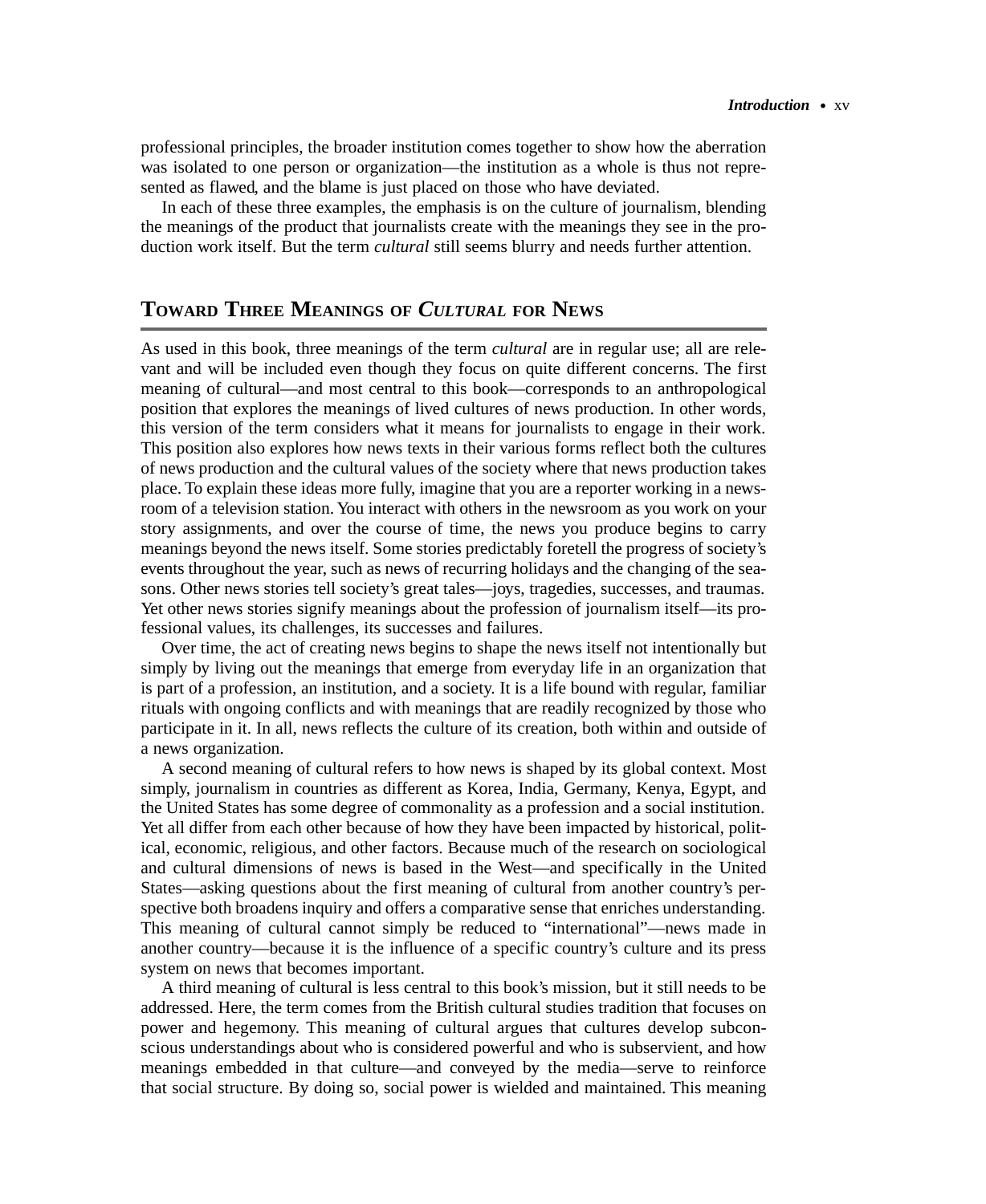professional principles, the broader institution comes together to show how the aberration was isolated to one person or organization—the institution as a whole is thus not represented as flawed, and the blame is just placed on those who have deviated.

In each of these three examples, the emphasis is on the culture of journalism, blending the meanings of the product that journalists create with the meanings they see in the production work itself. But the term *cultural* still seems blurry and needs further attention.

## **TOWARD THREE MEANINGS OF** *CULTURAL* **FOR NEWS**

As used in this book, three meanings of the term *cultural* are in regular use; all are relevant and will be included even though they focus on quite different concerns. The first meaning of cultural—and most central to this book—corresponds to an anthropological position that explores the meanings of lived cultures of news production. In other words, this version of the term considers what it means for journalists to engage in their work. This position also explores how news texts in their various forms reflect both the cultures of news production and the cultural values of the society where that news production takes place. To explain these ideas more fully, imagine that you are a reporter working in a newsroom of a television station. You interact with others in the newsroom as you work on your story assignments, and over the course of time, the news you produce begins to carry meanings beyond the news itself. Some stories predictably foretell the progress of society's events throughout the year, such as news of recurring holidays and the changing of the seasons. Other news stories tell society's great tales—joys, tragedies, successes, and traumas. Yet other news stories signify meanings about the profession of journalism itself—its professional values, its challenges, its successes and failures.

Over time, the act of creating news begins to shape the news itself not intentionally but simply by living out the meanings that emerge from everyday life in an organization that is part of a profession, an institution, and a society. It is a life bound with regular, familiar rituals with ongoing conflicts and with meanings that are readily recognized by those who participate in it. In all, news reflects the culture of its creation, both within and outside of a news organization.

A second meaning of cultural refers to how news is shaped by its global context. Most simply, journalism in countries as different as Korea, India, Germany, Kenya, Egypt, and the United States has some degree of commonality as a profession and a social institution. Yet all differ from each other because of how they have been impacted by historical, political, economic, religious, and other factors. Because much of the research on sociological and cultural dimensions of news is based in the West—and specifically in the United States—asking questions about the first meaning of cultural from another country's perspective both broadens inquiry and offers a comparative sense that enriches understanding. This meaning of cultural cannot simply be reduced to "international"—news made in another country—because it is the influence of a specific country's culture and its press system on news that becomes important.

A third meaning of cultural is less central to this book's mission, but it still needs to be addressed. Here, the term comes from the British cultural studies tradition that focuses on power and hegemony. This meaning of cultural argues that cultures develop subconscious understandings about who is considered powerful and who is subservient, and how meanings embedded in that culture—and conveyed by the media—serve to reinforce that social structure. By doing so, social power is wielded and maintained. This meaning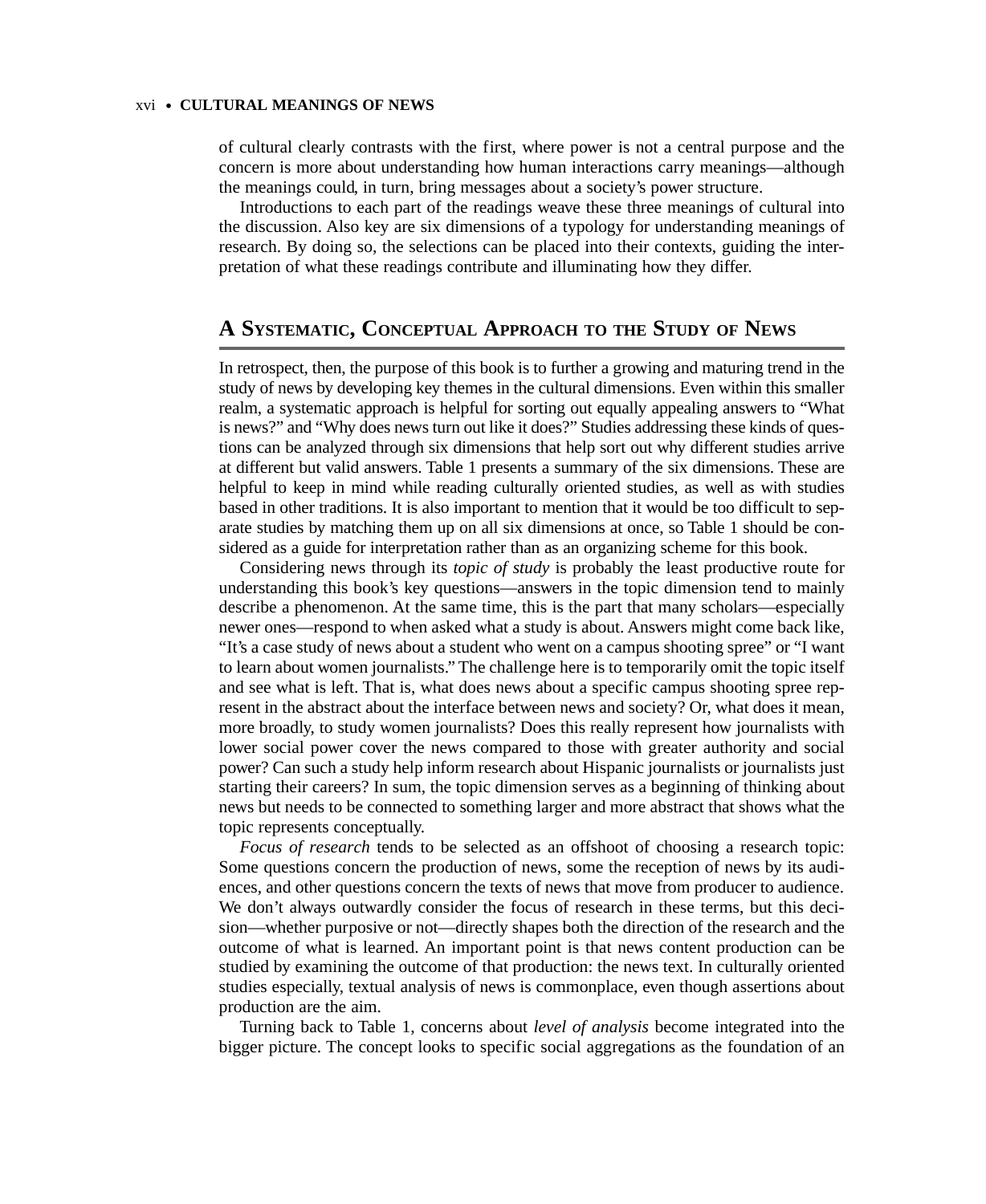#### xvi • **CULTURAL MEANINGS OF NEWS**

of cultural clearly contrasts with the first, where power is not a central purpose and the concern is more about understanding how human interactions carry meanings—although the meanings could, in turn, bring messages about a society's power structure.

Introductions to each part of the readings weave these three meanings of cultural into the discussion. Also key are six dimensions of a typology for understanding meanings of research. By doing so, the selections can be placed into their contexts, guiding the interpretation of what these readings contribute and illuminating how they differ.

## **A SYSTEMATIC, CONCEPTUAL APPROACH TO THE STUDY OF NEWS**

In retrospect, then, the purpose of this book is to further a growing and maturing trend in the study of news by developing key themes in the cultural dimensions. Even within this smaller realm, a systematic approach is helpful for sorting out equally appealing answers to "What is news?" and "Why does news turn out like it does?" Studies addressing these kinds of questions can be analyzed through six dimensions that help sort out why different studies arrive at different but valid answers. Table 1 presents a summary of the six dimensions. These are helpful to keep in mind while reading culturally oriented studies, as well as with studies based in other traditions. It is also important to mention that it would be too difficult to separate studies by matching them up on all six dimensions at once, so Table 1 should be considered as a guide for interpretation rather than as an organizing scheme for this book.

Considering news through its *topic of study* is probably the least productive route for understanding this book's key questions—answers in the topic dimension tend to mainly describe a phenomenon. At the same time, this is the part that many scholars—especially newer ones—respond to when asked what a study is about. Answers might come back like, "It's a case study of news about a student who went on a campus shooting spree" or "I want to learn about women journalists." The challenge here is to temporarily omit the topic itself and see what is left. That is, what does news about a specific campus shooting spree represent in the abstract about the interface between news and society? Or, what does it mean, more broadly, to study women journalists? Does this really represent how journalists with lower social power cover the news compared to those with greater authority and social power? Can such a study help inform research about Hispanic journalists or journalists just starting their careers? In sum, the topic dimension serves as a beginning of thinking about news but needs to be connected to something larger and more abstract that shows what the topic represents conceptually.

*Focus of research* tends to be selected as an offshoot of choosing a research topic: Some questions concern the production of news, some the reception of news by its audiences, and other questions concern the texts of news that move from producer to audience. We don't always outwardly consider the focus of research in these terms, but this decision—whether purposive or not—directly shapes both the direction of the research and the outcome of what is learned. An important point is that news content production can be studied by examining the outcome of that production: the news text. In culturally oriented studies especially, textual analysis of news is commonplace, even though assertions about production are the aim.

Turning back to Table 1, concerns about *level of analysis* become integrated into the bigger picture. The concept looks to specific social aggregations as the foundation of an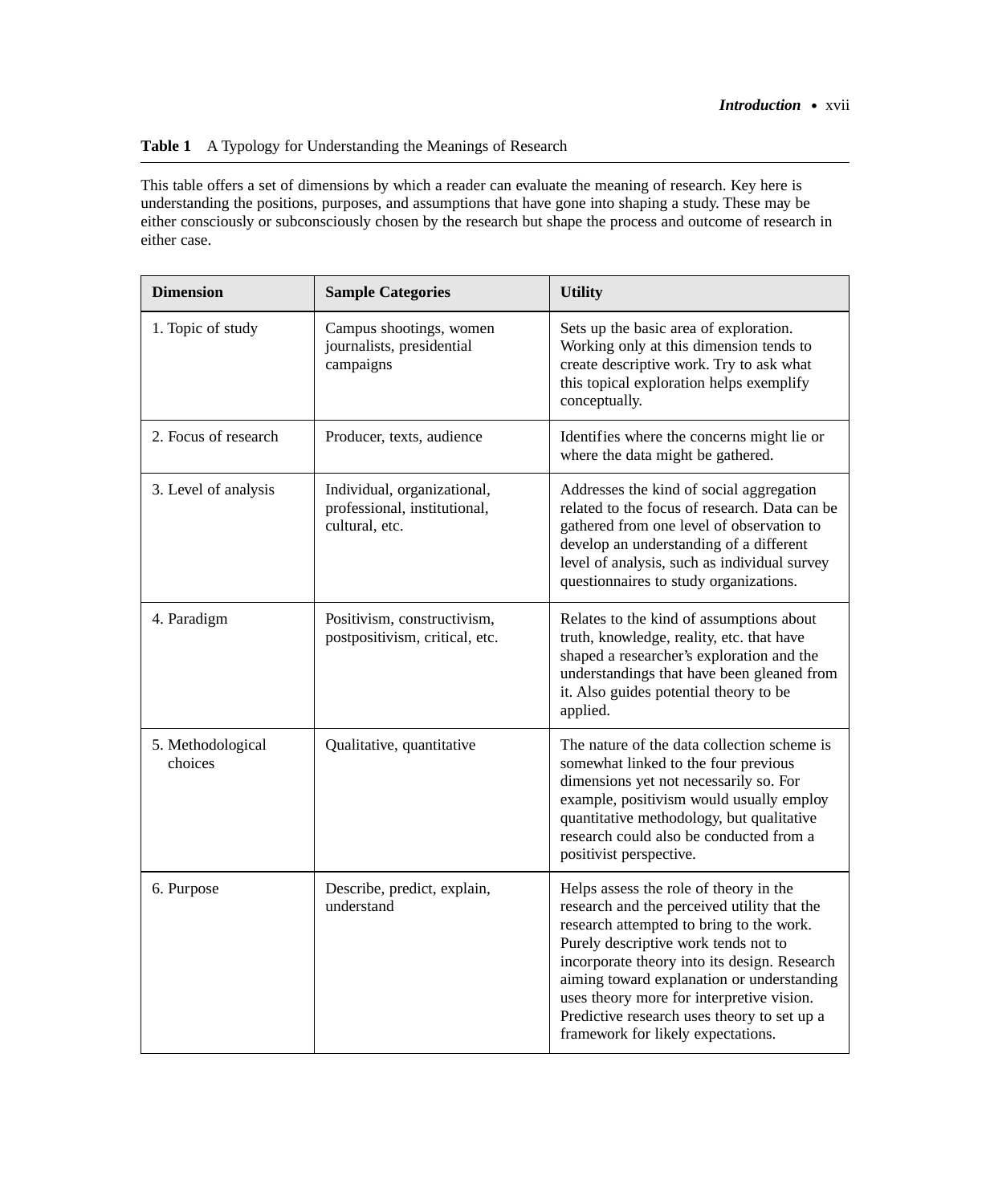### **Table 1** A Typology for Understanding the Meanings of Research

This table offers a set of dimensions by which a reader can evaluate the meaning of research. Key here is understanding the positions, purposes, and assumptions that have gone into shaping a study. These may be either consciously or subconsciously chosen by the research but shape the process and outcome of research in either case.

| <b>Dimension</b>             | <b>Sample Categories</b>                                                      | <b>Utility</b>                                                                                                                                                                                                                                                                                                                                                                                            |
|------------------------------|-------------------------------------------------------------------------------|-----------------------------------------------------------------------------------------------------------------------------------------------------------------------------------------------------------------------------------------------------------------------------------------------------------------------------------------------------------------------------------------------------------|
| 1. Topic of study            | Campus shootings, women<br>journalists, presidential<br>campaigns             | Sets up the basic area of exploration.<br>Working only at this dimension tends to<br>create descriptive work. Try to ask what<br>this topical exploration helps exemplify<br>conceptually.                                                                                                                                                                                                                |
| 2. Focus of research         | Producer, texts, audience                                                     | Identifies where the concerns might lie or<br>where the data might be gathered.                                                                                                                                                                                                                                                                                                                           |
| 3. Level of analysis         | Individual, organizational,<br>professional, institutional,<br>cultural, etc. | Addresses the kind of social aggregation<br>related to the focus of research. Data can be<br>gathered from one level of observation to<br>develop an understanding of a different<br>level of analysis, such as individual survey<br>questionnaires to study organizations.                                                                                                                               |
| 4. Paradigm                  | Positivism, constructivism,<br>postpositivism, critical, etc.                 | Relates to the kind of assumptions about<br>truth, knowledge, reality, etc. that have<br>shaped a researcher's exploration and the<br>understandings that have been gleaned from<br>it. Also guides potential theory to be<br>applied.                                                                                                                                                                    |
| 5. Methodological<br>choices | Qualitative, quantitative                                                     | The nature of the data collection scheme is<br>somewhat linked to the four previous<br>dimensions yet not necessarily so. For<br>example, positivism would usually employ<br>quantitative methodology, but qualitative<br>research could also be conducted from a<br>positivist perspective.                                                                                                              |
| 6. Purpose                   | Describe, predict, explain,<br>understand                                     | Helps assess the role of theory in the<br>research and the perceived utility that the<br>research attempted to bring to the work.<br>Purely descriptive work tends not to<br>incorporate theory into its design. Research<br>aiming toward explanation or understanding<br>uses theory more for interpretive vision.<br>Predictive research uses theory to set up a<br>framework for likely expectations. |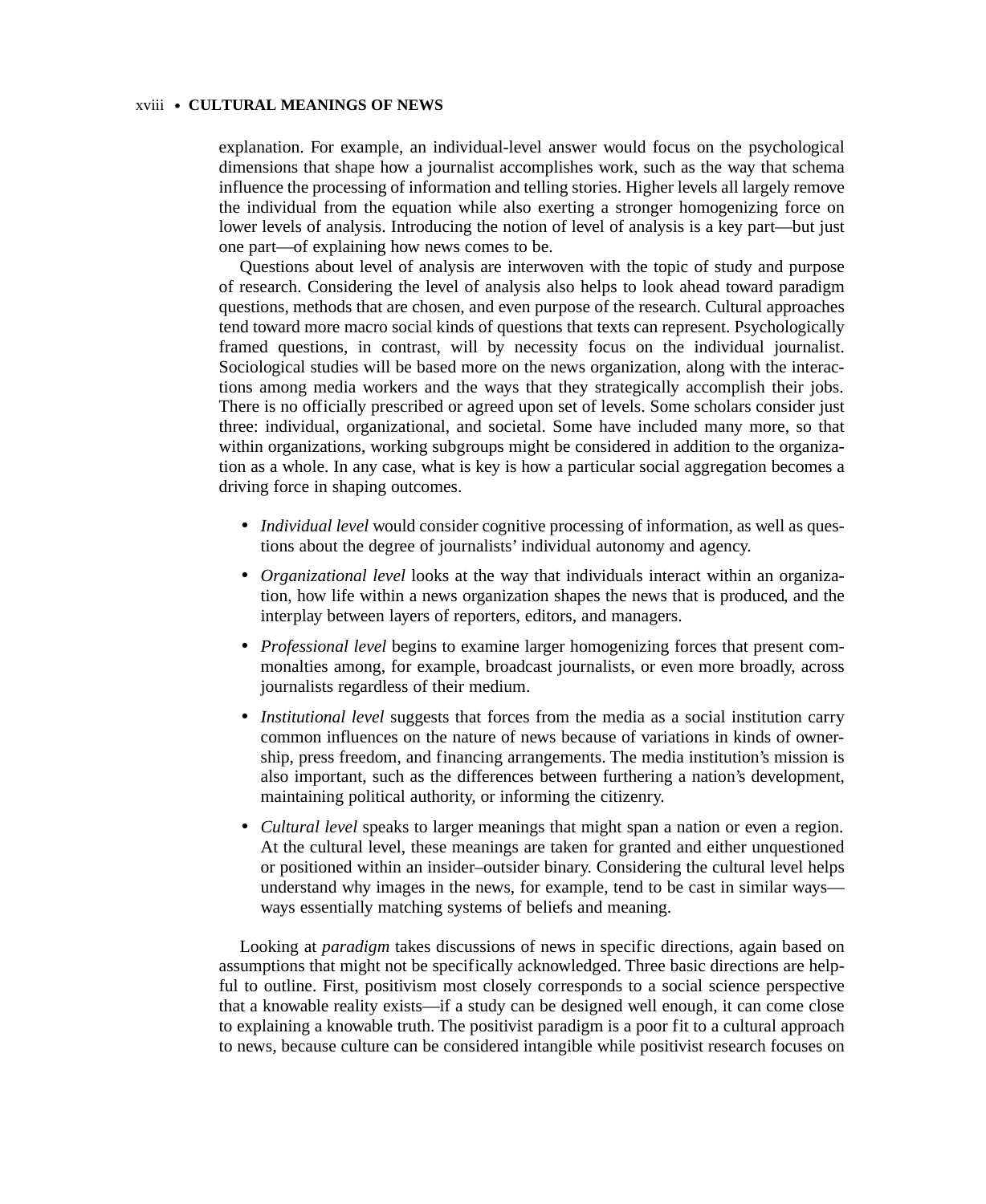#### xviii • **CULTURAL MEANINGS OF NEWS**

explanation. For example, an individual-level answer would focus on the psychological dimensions that shape how a journalist accomplishes work, such as the way that schema influence the processing of information and telling stories. Higher levels all largely remove the individual from the equation while also exerting a stronger homogenizing force on lower levels of analysis. Introducing the notion of level of analysis is a key part—but just one part—of explaining how news comes to be.

Questions about level of analysis are interwoven with the topic of study and purpose of research. Considering the level of analysis also helps to look ahead toward paradigm questions, methods that are chosen, and even purpose of the research. Cultural approaches tend toward more macro social kinds of questions that texts can represent. Psychologically framed questions, in contrast, will by necessity focus on the individual journalist. Sociological studies will be based more on the news organization, along with the interactions among media workers and the ways that they strategically accomplish their jobs. There is no officially prescribed or agreed upon set of levels. Some scholars consider just three: individual, organizational, and societal. Some have included many more, so that within organizations, working subgroups might be considered in addition to the organization as a whole. In any case, what is key is how a particular social aggregation becomes a driving force in shaping outcomes.

- *Individual level* would consider cognitive processing of information, as well as questions about the degree of journalists' individual autonomy and agency.
- *Organizational level* looks at the way that individuals interact within an organization, how life within a news organization shapes the news that is produced, and the interplay between layers of reporters, editors, and managers.
- *Professional level* begins to examine larger homogenizing forces that present commonalties among, for example, broadcast journalists, or even more broadly, across journalists regardless of their medium.
- *Institutional level* suggests that forces from the media as a social institution carry common influences on the nature of news because of variations in kinds of ownership, press freedom, and financing arrangements. The media institution's mission is also important, such as the differences between furthering a nation's development, maintaining political authority, or informing the citizenry.
- *Cultural level* speaks to larger meanings that might span a nation or even a region. At the cultural level, these meanings are taken for granted and either unquestioned or positioned within an insider–outsider binary. Considering the cultural level helps understand why images in the news, for example, tend to be cast in similar ways ways essentially matching systems of beliefs and meaning.

Looking at *paradigm* takes discussions of news in specific directions, again based on assumptions that might not be specifically acknowledged. Three basic directions are helpful to outline. First, positivism most closely corresponds to a social science perspective that a knowable reality exists—if a study can be designed well enough, it can come close to explaining a knowable truth. The positivist paradigm is a poor fit to a cultural approach to news, because culture can be considered intangible while positivist research focuses on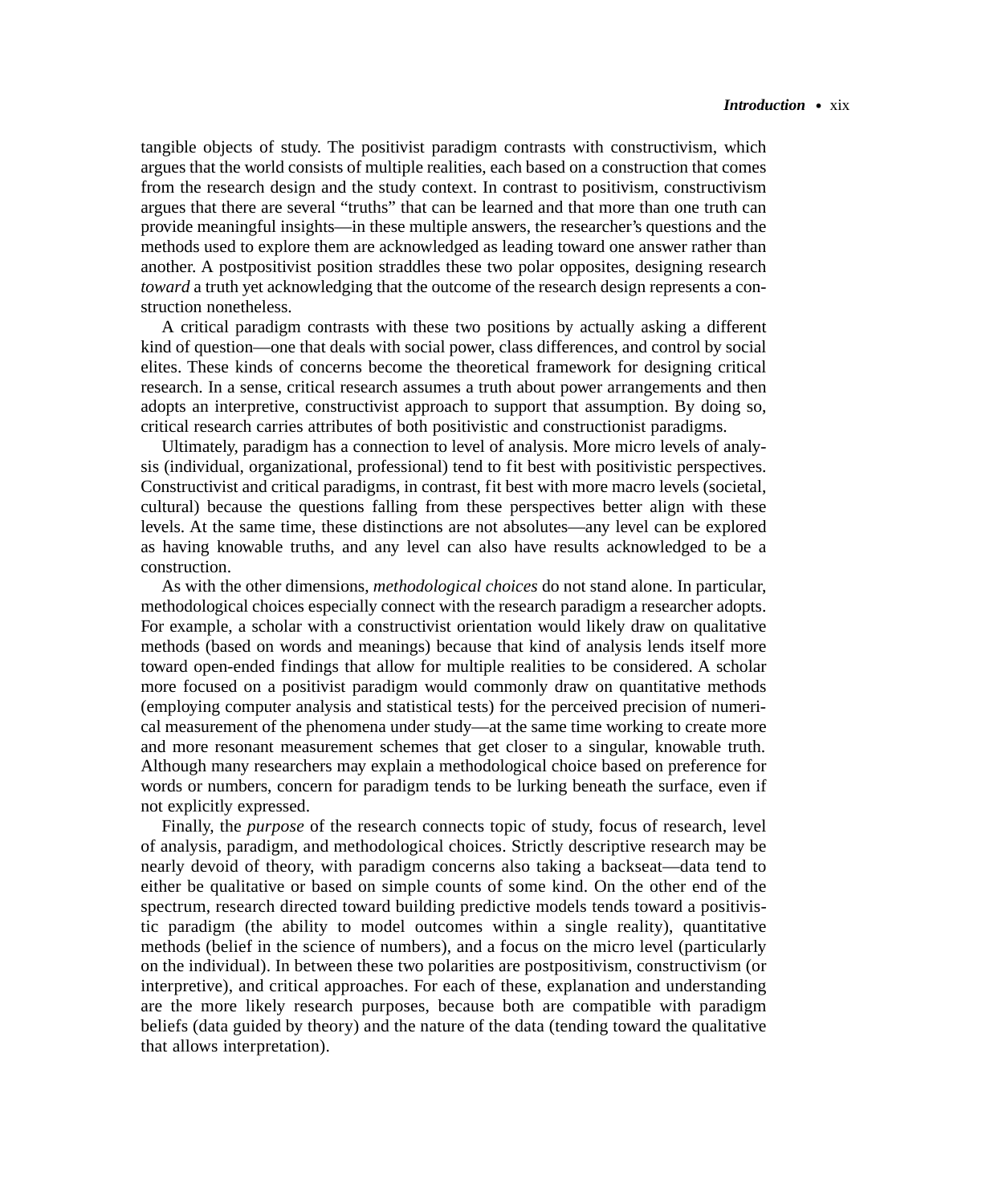tangible objects of study. The positivist paradigm contrasts with constructivism, which argues that the world consists of multiple realities, each based on a construction that comes from the research design and the study context. In contrast to positivism, constructivism argues that there are several "truths" that can be learned and that more than one truth can provide meaningful insights—in these multiple answers, the researcher's questions and the methods used to explore them are acknowledged as leading toward one answer rather than another. A postpositivist position straddles these two polar opposites, designing research *toward* a truth yet acknowledging that the outcome of the research design represents a construction nonetheless.

A critical paradigm contrasts with these two positions by actually asking a different kind of question—one that deals with social power, class differences, and control by social elites. These kinds of concerns become the theoretical framework for designing critical research. In a sense, critical research assumes a truth about power arrangements and then adopts an interpretive, constructivist approach to support that assumption. By doing so, critical research carries attributes of both positivistic and constructionist paradigms.

Ultimately, paradigm has a connection to level of analysis. More micro levels of analysis (individual, organizational, professional) tend to fit best with positivistic perspectives. Constructivist and critical paradigms, in contrast, fit best with more macro levels (societal, cultural) because the questions falling from these perspectives better align with these levels. At the same time, these distinctions are not absolutes—any level can be explored as having knowable truths, and any level can also have results acknowledged to be a construction.

As with the other dimensions, *methodological choices* do not stand alone. In particular, methodological choices especially connect with the research paradigm a researcher adopts. For example, a scholar with a constructivist orientation would likely draw on qualitative methods (based on words and meanings) because that kind of analysis lends itself more toward open-ended findings that allow for multiple realities to be considered. A scholar more focused on a positivist paradigm would commonly draw on quantitative methods (employing computer analysis and statistical tests) for the perceived precision of numerical measurement of the phenomena under study—at the same time working to create more and more resonant measurement schemes that get closer to a singular, knowable truth. Although many researchers may explain a methodological choice based on preference for words or numbers, concern for paradigm tends to be lurking beneath the surface, even if not explicitly expressed.

Finally, the *purpose* of the research connects topic of study, focus of research, level of analysis, paradigm, and methodological choices. Strictly descriptive research may be nearly devoid of theory, with paradigm concerns also taking a backseat—data tend to either be qualitative or based on simple counts of some kind. On the other end of the spectrum, research directed toward building predictive models tends toward a positivistic paradigm (the ability to model outcomes within a single reality), quantitative methods (belief in the science of numbers), and a focus on the micro level (particularly on the individual). In between these two polarities are postpositivism, constructivism (or interpretive), and critical approaches. For each of these, explanation and understanding are the more likely research purposes, because both are compatible with paradigm beliefs (data guided by theory) and the nature of the data (tending toward the qualitative that allows interpretation).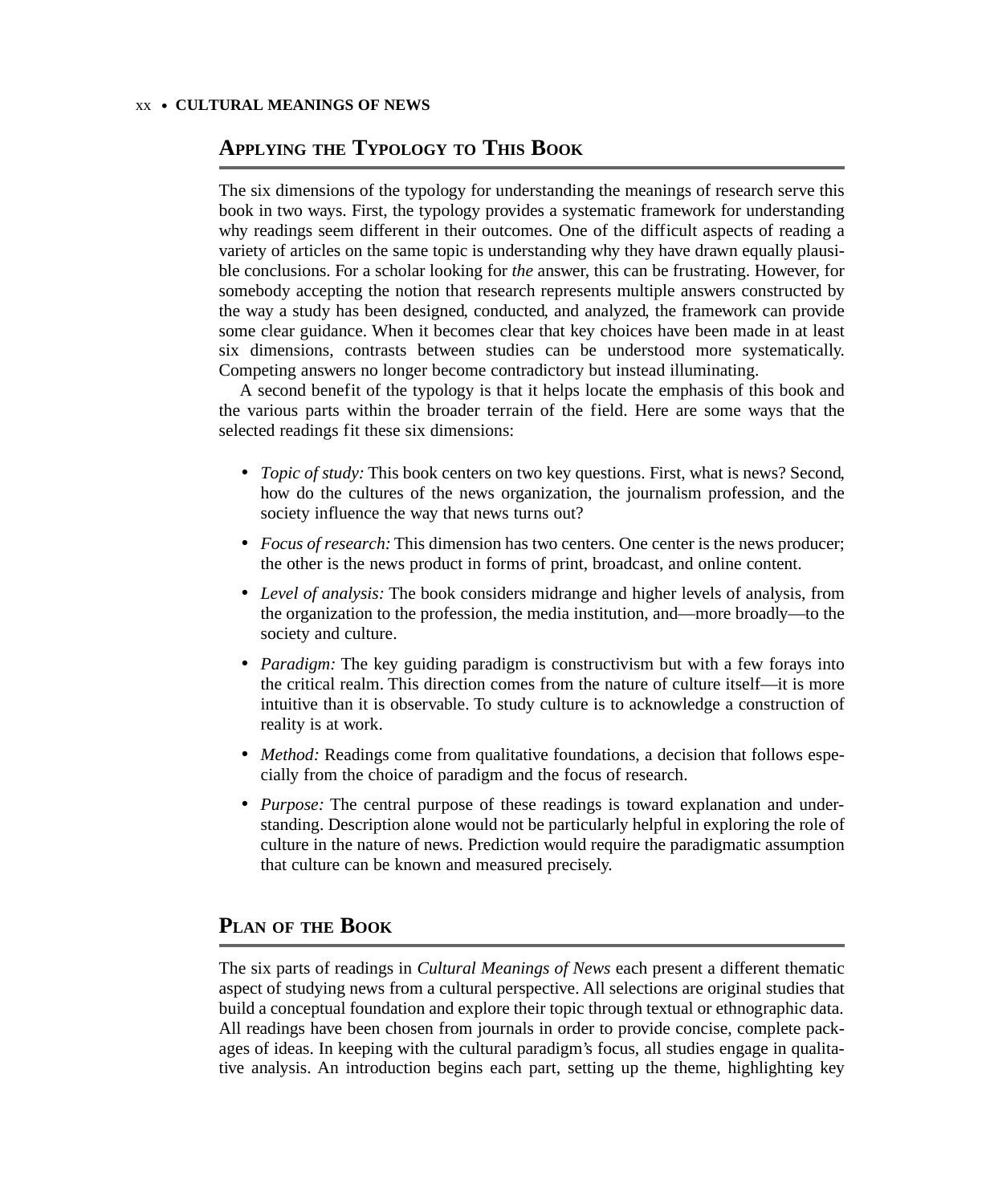### xx • **CULTURAL MEANINGS OF NEWS**

## **APPLYING THE TYPOLOGY TO THIS BOOK**

The six dimensions of the typology for understanding the meanings of research serve this book in two ways. First, the typology provides a systematic framework for understanding why readings seem different in their outcomes. One of the difficult aspects of reading a variety of articles on the same topic is understanding why they have drawn equally plausible conclusions. For a scholar looking for *the* answer, this can be frustrating. However, for somebody accepting the notion that research represents multiple answers constructed by the way a study has been designed, conducted, and analyzed, the framework can provide some clear guidance. When it becomes clear that key choices have been made in at least six dimensions, contrasts between studies can be understood more systematically. Competing answers no longer become contradictory but instead illuminating.

A second benefit of the typology is that it helps locate the emphasis of this book and the various parts within the broader terrain of the field. Here are some ways that the selected readings fit these six dimensions:

- *Topic of study:* This book centers on two key questions. First, what is news? Second, how do the cultures of the news organization, the journalism profession, and the society influence the way that news turns out?
- *Focus of research:* This dimension has two centers. One center is the news producer; the other is the news product in forms of print, broadcast, and online content.
- *Level of analysis:* The book considers midrange and higher levels of analysis, from the organization to the profession, the media institution, and—more broadly—to the society and culture.
- *Paradigm:* The key guiding paradigm is constructivism but with a few forays into the critical realm. This direction comes from the nature of culture itself—it is more intuitive than it is observable. To study culture is to acknowledge a construction of reality is at work.
- *Method:* Readings come from qualitative foundations, a decision that follows especially from the choice of paradigm and the focus of research.
- *Purpose:* The central purpose of these readings is toward explanation and understanding. Description alone would not be particularly helpful in exploring the role of culture in the nature of news. Prediction would require the paradigmatic assumption that culture can be known and measured precisely.

## **PLAN OF THE BOOK**

The six parts of readings in *Cultural Meanings of News* each present a different thematic aspect of studying news from a cultural perspective. All selections are original studies that build a conceptual foundation and explore their topic through textual or ethnographic data. All readings have been chosen from journals in order to provide concise, complete packages of ideas. In keeping with the cultural paradigm's focus, all studies engage in qualitative analysis. An introduction begins each part, setting up the theme, highlighting key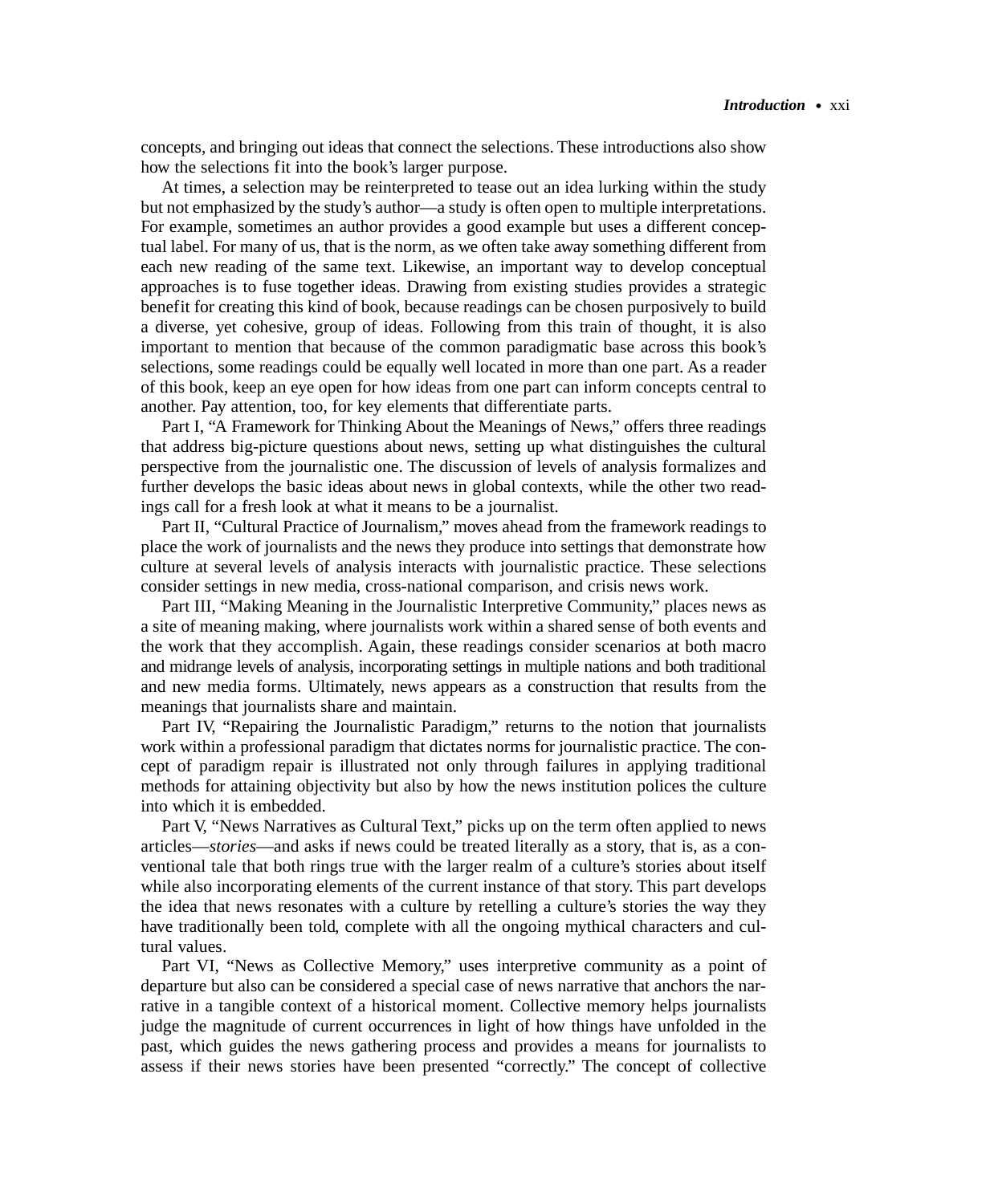concepts, and bringing out ideas that connect the selections. These introductions also show how the selections fit into the book's larger purpose.

At times, a selection may be reinterpreted to tease out an idea lurking within the study but not emphasized by the study's author—a study is often open to multiple interpretations. For example, sometimes an author provides a good example but uses a different conceptual label. For many of us, that is the norm, as we often take away something different from each new reading of the same text. Likewise, an important way to develop conceptual approaches is to fuse together ideas. Drawing from existing studies provides a strategic benefit for creating this kind of book, because readings can be chosen purposively to build a diverse, yet cohesive, group of ideas. Following from this train of thought, it is also important to mention that because of the common paradigmatic base across this book's selections, some readings could be equally well located in more than one part. As a reader of this book, keep an eye open for how ideas from one part can inform concepts central to another. Pay attention, too, for key elements that differentiate parts.

Part I, "A Framework for Thinking About the Meanings of News," offers three readings that address big-picture questions about news, setting up what distinguishes the cultural perspective from the journalistic one. The discussion of levels of analysis formalizes and further develops the basic ideas about news in global contexts, while the other two readings call for a fresh look at what it means to be a journalist.

Part II, "Cultural Practice of Journalism," moves ahead from the framework readings to place the work of journalists and the news they produce into settings that demonstrate how culture at several levels of analysis interacts with journalistic practice. These selections consider settings in new media, cross-national comparison, and crisis news work.

Part III, "Making Meaning in the Journalistic Interpretive Community," places news as a site of meaning making, where journalists work within a shared sense of both events and the work that they accomplish. Again, these readings consider scenarios at both macro and midrange levels of analysis, incorporating settings in multiple nations and both traditional and new media forms. Ultimately, news appears as a construction that results from the meanings that journalists share and maintain.

Part IV, "Repairing the Journalistic Paradigm," returns to the notion that journalists work within a professional paradigm that dictates norms for journalistic practice. The concept of paradigm repair is illustrated not only through failures in applying traditional methods for attaining objectivity but also by how the news institution polices the culture into which it is embedded.

Part V, "News Narratives as Cultural Text," picks up on the term often applied to news articles—*stories*—and asks if news could be treated literally as a story, that is, as a conventional tale that both rings true with the larger realm of a culture's stories about itself while also incorporating elements of the current instance of that story. This part develops the idea that news resonates with a culture by retelling a culture's stories the way they have traditionally been told, complete with all the ongoing mythical characters and cultural values.

Part VI, "News as Collective Memory," uses interpretive community as a point of departure but also can be considered a special case of news narrative that anchors the narrative in a tangible context of a historical moment. Collective memory helps journalists judge the magnitude of current occurrences in light of how things have unfolded in the past, which guides the news gathering process and provides a means for journalists to assess if their news stories have been presented "correctly." The concept of collective